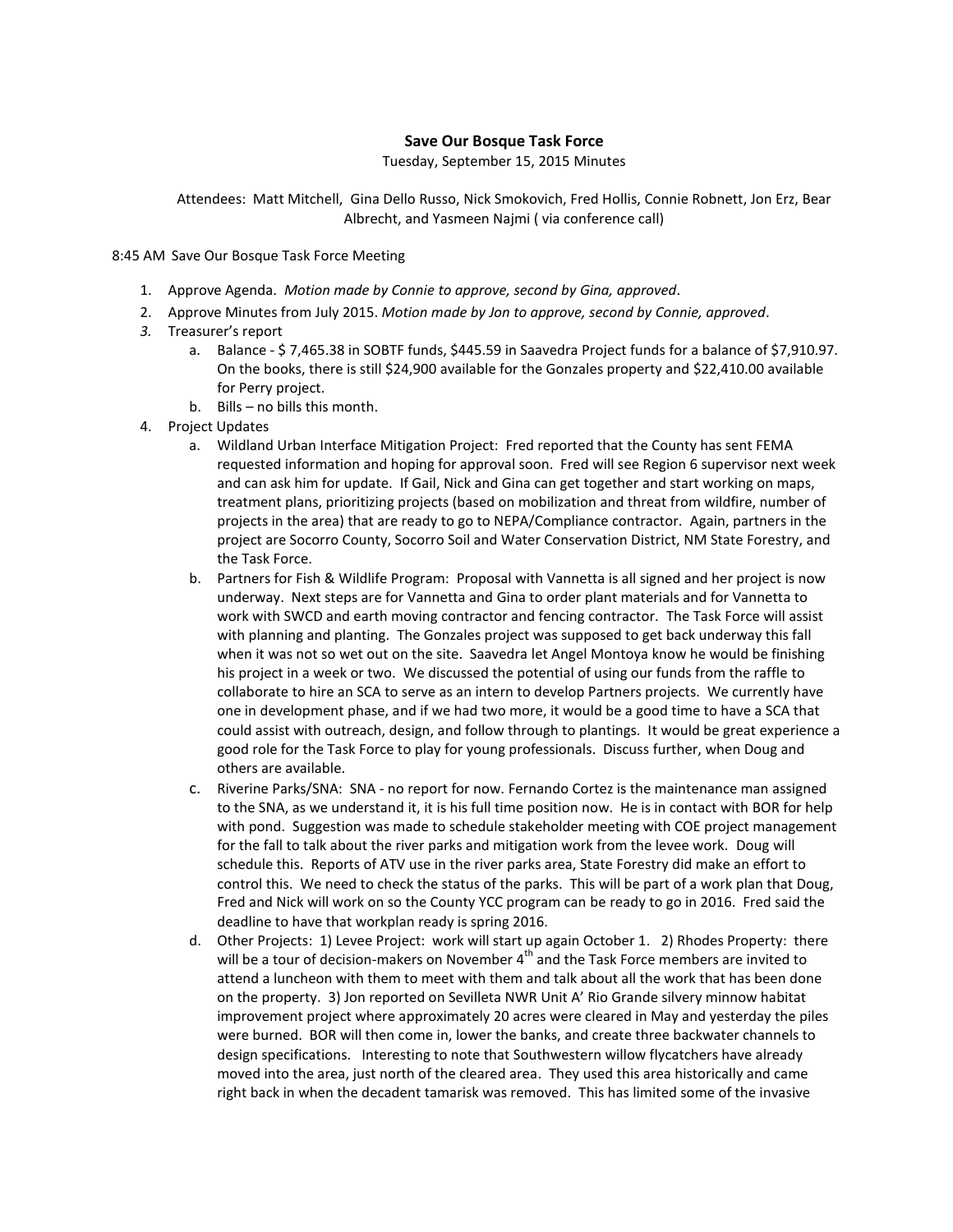## **Save Our Bosque Task Force**

Tuesday, September 15, 2015 Minutes

Attendees: Matt Mitchell, Gina Dello Russo, Nick Smokovich, Fred Hollis, Connie Robnett, Jon Erz, Bear Albrecht, and Yasmeen Najmi ( via conference call)

8:45 AM Save Our Bosque Task Force Meeting

- 1. Approve Agenda. *Motion made by Connie to approve, second by Gina, approved*.
- 2. Approve Minutes from July 2015. *Motion made by Jon to approve, second by Connie, approved*.
- *3.* Treasurer's report
	- a. Balance \$ 7,465.38 in SOBTF funds, \$445.59 in Saavedra Project funds for a balance of \$7,910.97. On the books, there is still \$24,900 available for the Gonzales property and \$22,410.00 available for Perry project.
	- b. Bills no bills this month.
- 4. Project Updates
	- a. Wildland Urban Interface Mitigation Project: Fred reported that the County has sent FEMA requested information and hoping for approval soon. Fred will see Region 6 supervisor next week and can ask him for update. If Gail, Nick and Gina can get together and start working on maps, treatment plans, prioritizing projects (based on mobilization and threat from wildfire, number of projects in the area) that are ready to go to NEPA/Compliance contractor. Again, partners in the project are Socorro County, Socorro Soil and Water Conservation District, NM State Forestry, and the Task Force.
	- b. Partners for Fish & Wildlife Program: Proposal with Vannetta is all signed and her project is now underway. Next steps are for Vannetta and Gina to order plant materials and for Vannetta to work with SWCD and earth moving contractor and fencing contractor. The Task Force will assist with planning and planting. The Gonzales project was supposed to get back underway this fall when it was not so wet out on the site. Saavedra let Angel Montoya know he would be finishing his project in a week or two. We discussed the potential of using our funds from the raffle to collaborate to hire an SCA to serve as an intern to develop Partners projects. We currently have one in development phase, and if we had two more, it would be a good time to have a SCA that could assist with outreach, design, and follow through to plantings. It would be great experience a good role for the Task Force to play for young professionals. Discuss further, when Doug and others are available.
	- c. Riverine Parks/SNA: SNA no report for now. Fernando Cortez is the maintenance man assigned to the SNA, as we understand it, it is his full time position now. He is in contact with BOR for help with pond. Suggestion was made to schedule stakeholder meeting with COE project management for the fall to talk about the river parks and mitigation work from the levee work. Doug will schedule this. Reports of ATV use in the river parks area, State Forestry did make an effort to control this. We need to check the status of the parks. This will be part of a work plan that Doug, Fred and Nick will work on so the County YCC program can be ready to go in 2016. Fred said the deadline to have that workplan ready is spring 2016.
	- d. Other Projects: 1) Levee Project: work will start up again October 1. 2) Rhodes Property: there will be a tour of decision-makers on November  $4<sup>th</sup>$  and the Task Force members are invited to attend a luncheon with them to meet with them and talk about all the work that has been done on the property. 3) Jon reported on Sevilleta NWR Unit A' Rio Grande silvery minnow habitat improvement project where approximately 20 acres were cleared in May and yesterday the piles were burned. BOR will then come in, lower the banks, and create three backwater channels to design specifications. Interesting to note that Southwestern willow flycatchers have already moved into the area, just north of the cleared area. They used this area historically and came right back in when the decadent tamarisk was removed. This has limited some of the invasive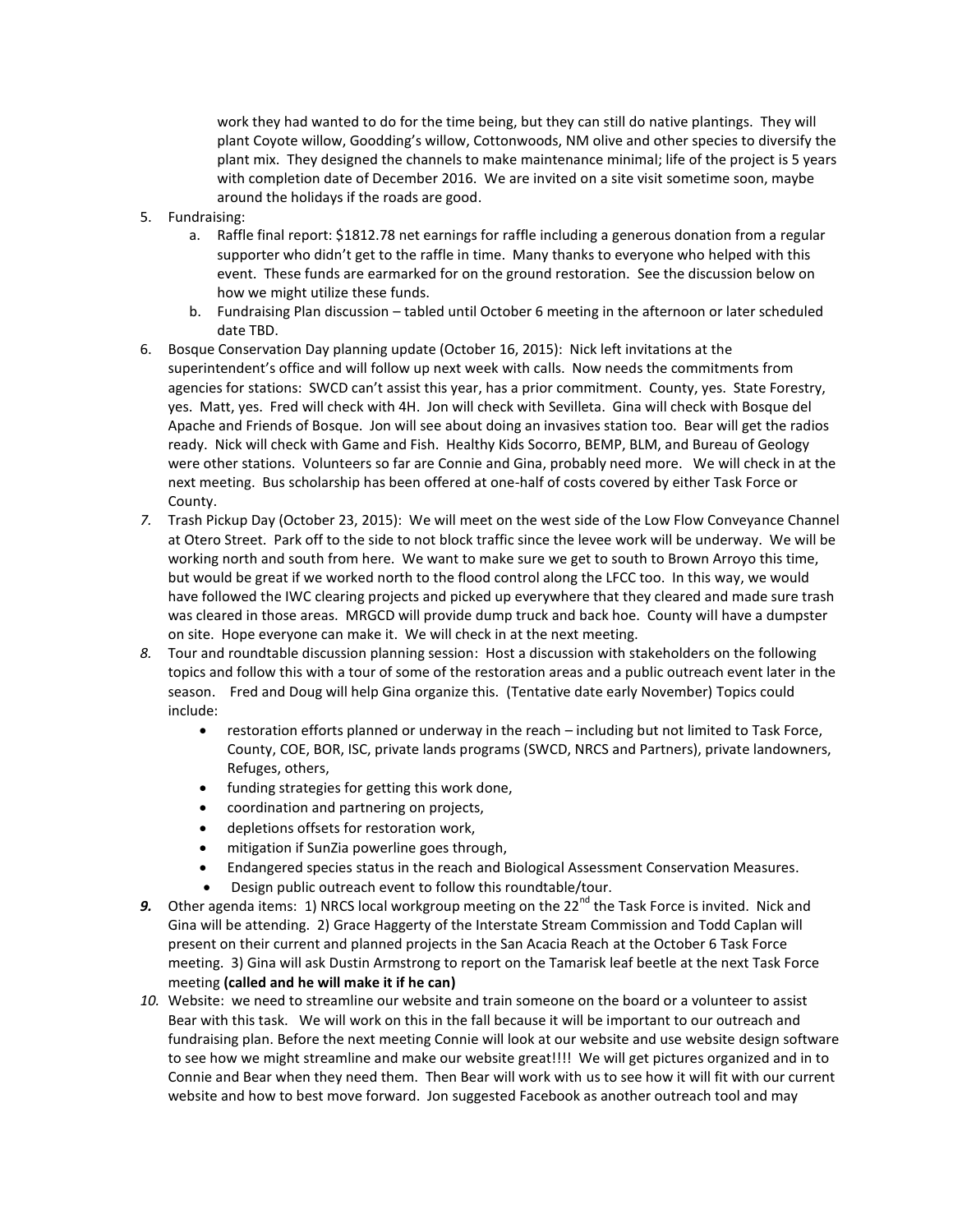work they had wanted to do for the time being, but they can still do native plantings. They will plant Coyote willow, Goodding's willow, Cottonwoods, NM olive and other species to diversify the plant mix. They designed the channels to make maintenance minimal; life of the project is 5 years with completion date of December 2016. We are invited on a site visit sometime soon, maybe around the holidays if the roads are good.

- 5. Fundraising:
	- a. Raffle final report: \$1812.78 net earnings for raffle including a generous donation from a regular supporter who didn't get to the raffle in time. Many thanks to everyone who helped with this event. These funds are earmarked for on the ground restoration. See the discussion below on how we might utilize these funds.
	- b. Fundraising Plan discussion tabled until October 6 meeting in the afternoon or later scheduled date TBD.
- 6. Bosque Conservation Day planning update (October 16, 2015): Nick left invitations at the superintendent's office and will follow up next week with calls. Now needs the commitments from agencies for stations: SWCD can't assist this year, has a prior commitment. County, yes. State Forestry, yes. Matt, yes. Fred will check with 4H. Jon will check with Sevilleta. Gina will check with Bosque del Apache and Friends of Bosque. Jon will see about doing an invasives station too. Bear will get the radios ready. Nick will check with Game and Fish. Healthy Kids Socorro, BEMP, BLM, and Bureau of Geology were other stations. Volunteers so far are Connie and Gina, probably need more. We will check in at the next meeting. Bus scholarship has been offered at one-half of costs covered by either Task Force or County.
- *7.* Trash Pickup Day (October 23, 2015): We will meet on the west side of the Low Flow Conveyance Channel at Otero Street. Park off to the side to not block traffic since the levee work will be underway. We will be working north and south from here. We want to make sure we get to south to Brown Arroyo this time, but would be great if we worked north to the flood control along the LFCC too. In this way, we would have followed the IWC clearing projects and picked up everywhere that they cleared and made sure trash was cleared in those areas. MRGCD will provide dump truck and back hoe. County will have a dumpster on site. Hope everyone can make it. We will check in at the next meeting.
- *8.* Tour and roundtable discussion planning session: Host a discussion with stakeholders on the following topics and follow this with a tour of some of the restoration areas and a public outreach event later in the season. Fred and Doug will help Gina organize this. (Tentative date early November) Topics could include:
	- restoration efforts planned or underway in the reach including but not limited to Task Force, County, COE, BOR, ISC, private lands programs (SWCD, NRCS and Partners), private landowners, Refuges, others,
	- funding strategies for getting this work done,
	- coordination and partnering on projects,
	- depletions offsets for restoration work,
	- mitigation if SunZia powerline goes through,
	- Endangered species status in the reach and Biological Assessment Conservation Measures.
		- Design public outreach event to follow this roundtable/tour.
- **9.** Other agenda items: 1) NRCS local workgroup meeting on the 22<sup>nd</sup> the Task Force is invited. Nick and Gina will be attending. 2) Grace Haggerty of the Interstate Stream Commission and Todd Caplan will present on their current and planned projects in the San Acacia Reach at the October 6 Task Force meeting. 3) Gina will ask Dustin Armstrong to report on the Tamarisk leaf beetle at the next Task Force meeting **(called and he will make it if he can)**
- *10.* Website: we need to streamline our website and train someone on the board or a volunteer to assist Bear with this task. We will work on this in the fall because it will be important to our outreach and fundraising plan. Before the next meeting Connie will look at our website and use website design software to see how we might streamline and make our website great!!!! We will get pictures organized and in to Connie and Bear when they need them. Then Bear will work with us to see how it will fit with our current website and how to best move forward. Jon suggested Facebook as another outreach tool and may